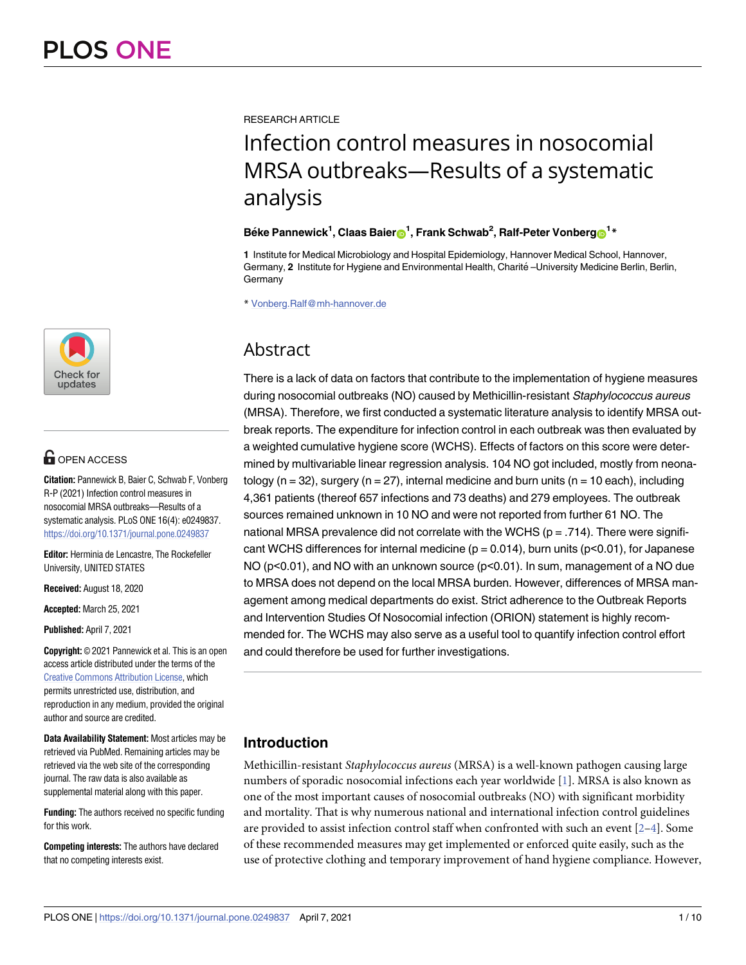

# **OPEN ACCESS**

**Citation:** Pannewick B, Baier C, Schwab F, Vonberg R-P (2021) Infection control measures in nosocomial MRSA outbreaks—Results of a systematic analysis. PLoS ONE 16(4): e0249837. <https://doi.org/10.1371/journal.pone.0249837>

**Editor:** Herminia de Lencastre, The Rockefeller University, UNITED STATES

**Received:** August 18, 2020

**Accepted:** March 25, 2021

**Published:** April 7, 2021

**Copyright:** © 2021 Pannewick et al. This is an open access article distributed under the terms of the [Creative Commons Attribution License,](http://creativecommons.org/licenses/by/4.0/) which permits unrestricted use, distribution, and reproduction in any medium, provided the original author and source are credited.

**Data Availability Statement:** Most articles may be retrieved via PubMed. Remaining articles may be retrieved via the web site of the corresponding journal. The raw data is also available as supplemental material along with this paper.

**Funding:** The authors received no specific funding for this work.

**Competing interests:** The authors have declared that no competing interests exist.

<span id="page-0-0"></span>RESEARCH ARTICLE

# Infection control measures in nosocomial MRSA outbreaks—Results of a systematic analysis

# $B$ éke Pannewick<sup>1</sup>, Claas Baier $\bigcirc$ <sup>1</sup>, Frank Schwab<sup>2</sup>, Ralf-Peter Vonberg $\bigcirc$ <sup>1</sup>\*

**1** Institute for Medical Microbiology and Hospital Epidemiology, Hannover Medical School, Hannover, Germany, 2 Institute for Hygiene and Environmental Health, Charité -University Medicine Berlin, Berlin, **Germany** 

\* Vonberg.Ralf@mh-hannover.de

# Abstract

There is a lack of data on factors that contribute to the implementation of hygiene measures during nosocomial outbreaks (NO) caused by Methicillin-resistant Staphylococcus aureus (MRSA). Therefore, we first conducted a systematic literature analysis to identify MRSA outbreak reports. The expenditure for infection control in each outbreak was then evaluated by a weighted cumulative hygiene score (WCHS). Effects of factors on this score were determined by multivariable linear regression analysis. 104 NO got included, mostly from neonatology ( $n = 32$ ), surgery ( $n = 27$ ), internal medicine and burn units ( $n = 10$  each), including 4,361 patients (thereof 657 infections and 73 deaths) and 279 employees. The outbreak sources remained unknown in 10 NO and were not reported from further 61 NO. The national MRSA prevalence did not correlate with the WCHS ( $p = .714$ ). There were significant WCHS differences for internal medicine ( $p = 0.014$ ), burn units ( $p < 0.01$ ), for Japanese NO  $(p<0.01)$ , and NO with an unknown source  $(p<0.01)$ . In sum, management of a NO due to MRSA does not depend on the local MRSA burden. However, differences of MRSA management among medical departments do exist. Strict adherence to the Outbreak Reports and Intervention Studies Of Nosocomial infection (ORION) statement is highly recommended for. The WCHS may also serve as a useful tool to quantify infection control effort and could therefore be used for further investigations.

# **Introduction**

Methicillin-resistant Staphylococcus aureus (MRSA) is a well-known pathogen causing large numbers of sporadic nosocomial infections each year worldwide [\[1](#page-7-0)]. MRSA is also known as one of the most important causes of nosocomial outbreaks (NO) with significant morbidity and mortality. That is why numerous national and international infection control guidelines are provided to assist infection control staff when confronted with such an event  $[2-4]$ . Some of these recommended measures may get implemented or enforced quite easily, such as the use of protective clothing and temporary improvement of hand hygiene compliance. However,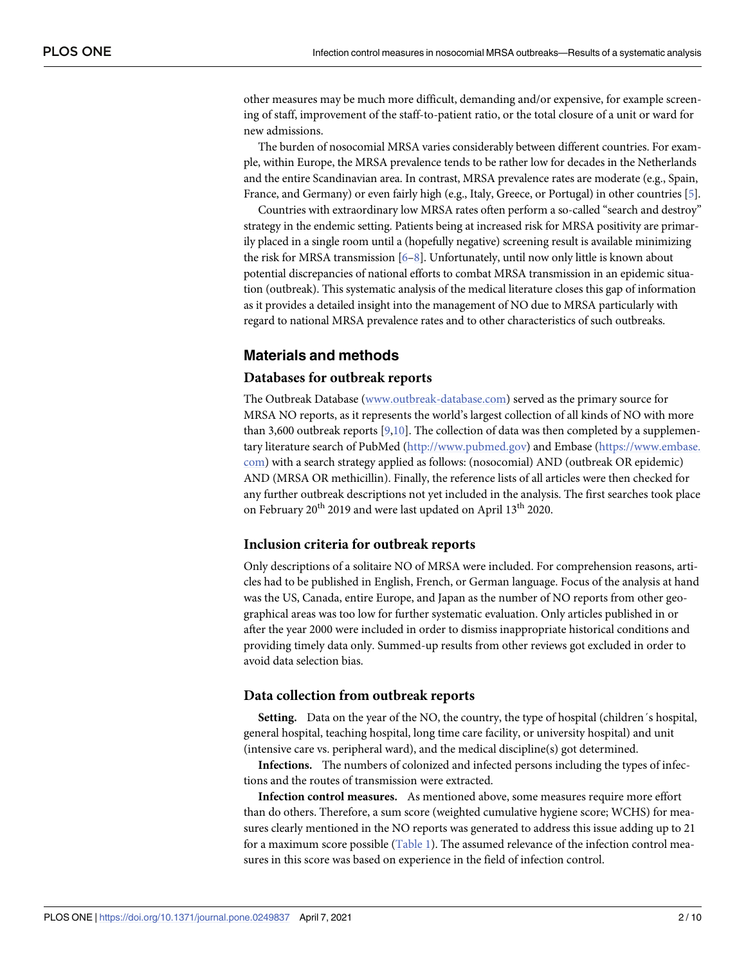<span id="page-1-0"></span>other measures may be much more difficult, demanding and/or expensive, for example screening of staff, improvement of the staff-to-patient ratio, or the total closure of a unit or ward for new admissions.

The burden of nosocomial MRSA varies considerably between different countries. For example, within Europe, the MRSA prevalence tends to be rather low for decades in the Netherlands and the entire Scandinavian area. In contrast, MRSA prevalence rates are moderate (e.g., Spain, France, and Germany) or even fairly high (e.g., Italy, Greece, or Portugal) in other countries [\[5\]](#page-8-0).

Countries with extraordinary low MRSA rates often perform a so-called "search and destroy" strategy in the endemic setting. Patients being at increased risk for MRSA positivity are primarily placed in a single room until a (hopefully negative) screening result is available minimizing the risk for MRSA transmission [\[6–8\]](#page-8-0). Unfortunately, until now only little is known about potential discrepancies of national efforts to combat MRSA transmission in an epidemic situation (outbreak). This systematic analysis of the medical literature closes this gap of information as it provides a detailed insight into the management of NO due to MRSA particularly with regard to national MRSA prevalence rates and to other characteristics of such outbreaks.

#### **Materials and methods**

#### **Databases for outbreak reports**

The Outbreak Database ([www.outbreak-database.com\)](http://www.outbreak-database.com/) served as the primary source for MRSA NO reports, as it represents the world's largest collection of all kinds of NO with more than 3,600 outbreak reports  $[9,10]$  $[9,10]$  $[9,10]$  $[9,10]$  $[9,10]$ . The collection of data was then completed by a supplementary literature search of PubMed [\(http://www.pubmed.gov](http://www.pubmed.gov/)) and Embase ([https://www.embase.](https://www.embase.com/) [com](https://www.embase.com/)) with a search strategy applied as follows: (nosocomial) AND (outbreak OR epidemic) AND (MRSA OR methicillin). Finally, the reference lists of all articles were then checked for any further outbreak descriptions not yet included in the analysis. The first searches took place on February 20<sup>th</sup> 2019 and were last updated on April 13<sup>th</sup> 2020.

#### **Inclusion criteria for outbreak reports**

Only descriptions of a solitaire NO of MRSA were included. For comprehension reasons, articles had to be published in English, French, or German language. Focus of the analysis at hand was the US, Canada, entire Europe, and Japan as the number of NO reports from other geographical areas was too low for further systematic evaluation. Only articles published in or after the year 2000 were included in order to dismiss inappropriate historical conditions and providing timely data only. Summed-up results from other reviews got excluded in order to avoid data selection bias.

#### **Data collection from outbreak reports**

**Setting.** Data on the year of the NO, the country, the type of hospital (children´s hospital, general hospital, teaching hospital, long time care facility, or university hospital) and unit (intensive care vs. peripheral ward), and the medical discipline(s) got determined.

**Infections.** The numbers of colonized and infected persons including the types of infections and the routes of transmission were extracted.

**Infection control measures.** As mentioned above, some measures require more effort than do others. Therefore, a sum score (weighted cumulative hygiene score; WCHS) for measures clearly mentioned in the NO reports was generated to address this issue adding up to 21 for a maximum score possible ([Table 1\)](#page-2-0). The assumed relevance of the infection control measures in this score was based on experience in the field of infection control.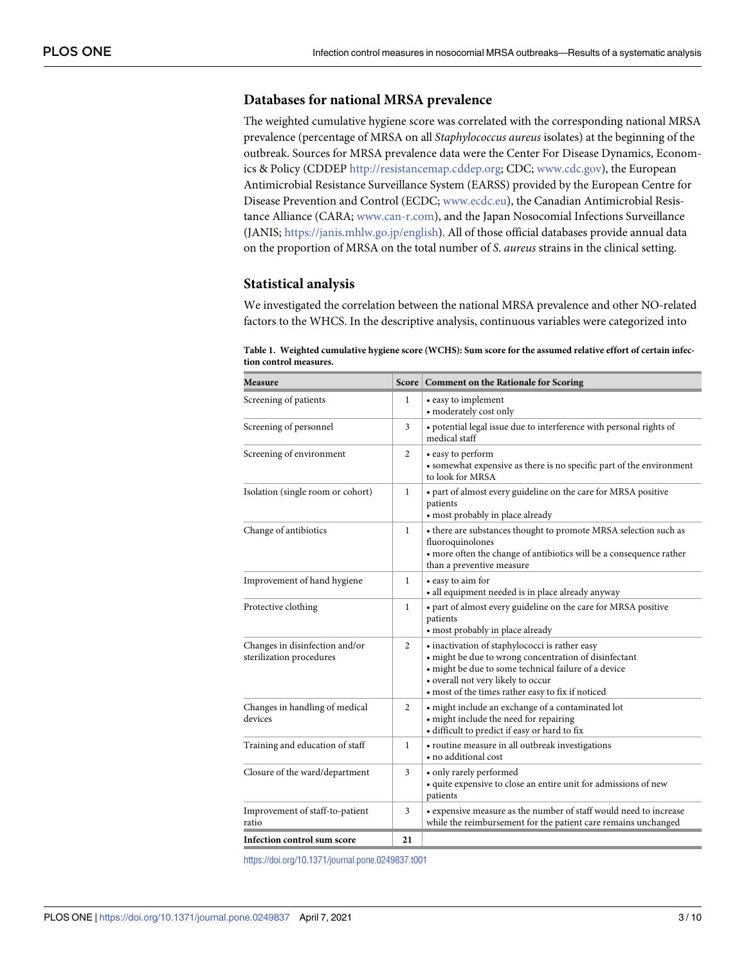## <span id="page-2-0"></span>**Databases for national MRSA prevalence**

The weighted cumulative hygiene score was correlated with the corresponding national MRSA prevalence (percentage of MRSA on all Staphylococcus aureus isolates) at the beginning of the outbreak. Sources for MRSA prevalence data were the Center For Disease Dynamics, Economics & Policy (CDDEP [http://resistancemap.cddep.org](http://resistancemap.cddep.org/); CDC; [www.cdc.gov\)](http://www.cdc.gov/), the European Antimicrobial Resistance Surveillance System (EARSS) provided by the European Centre for Disease Prevention and Control (ECDC; [www.ecdc.eu](http://www.ecdc.eu/)), the Canadian Antimicrobial Resistance Alliance (CARA; [www.can-r.com\)](http://www.can-r.com/), and the Japan Nosocomial Infections Surveillance (JANIS; [https://janis.mhlw.go.jp/english\)](https://janis.mhlw.go.jp/english). All of those official databases provide annual data on the proportion of MRSA on the total number of S. aureus strains in the clinical setting.

#### **Statistical analysis**

We investigated the correlation between the national MRSA prevalence and other NO-related factors to the WHCS. In the descriptive analysis, continuous variables were categorized into

| <b>Measure</b>                                             |              | Score   Comment on the Rationale for Scoring                                                                                                                                                                                                               |  |  |
|------------------------------------------------------------|--------------|------------------------------------------------------------------------------------------------------------------------------------------------------------------------------------------------------------------------------------------------------------|--|--|
| Screening of patients                                      | $\mathbf{1}$ | • easy to implement<br>• moderately cost only                                                                                                                                                                                                              |  |  |
| Screening of personnel                                     | 3            | · potential legal issue due to interference with personal rights of<br>medical staff                                                                                                                                                                       |  |  |
| Screening of environment                                   | 2            | • easy to perform<br>· somewhat expensive as there is no specific part of the environment<br>to look for MRSA                                                                                                                                              |  |  |
| Isolation (single room or cohort)                          | 1            | • part of almost every guideline on the care for MRSA positive<br>patients<br>• most probably in place already                                                                                                                                             |  |  |
| Change of antibiotics                                      | $\mathbf{1}$ | • there are substances thought to promote MRSA selection such as<br>fluoroquinolones<br>• more often the change of antibiotics will be a consequence rather<br>than a preventive measure                                                                   |  |  |
| Improvement of hand hygiene                                | 1            | • easy to aim for<br>· all equipment needed is in place already anyway                                                                                                                                                                                     |  |  |
| Protective clothing                                        | 1            | • part of almost every guideline on the care for MRSA positive<br>patients<br>• most probably in place already                                                                                                                                             |  |  |
| Changes in disinfection and/or<br>sterilization procedures | 2            | · inactivation of staphylococci is rather easy<br>· might be due to wrong concentration of disinfectant<br>· might be due to some technical failure of a device<br>• overall not very likely to occur<br>• most of the times rather easy to fix if noticed |  |  |
| Changes in handling of medical<br>devices                  | 2            | · might include an exchange of a contaminated lot<br>• might include the need for repairing<br>· difficult to predict if easy or hard to fix                                                                                                               |  |  |
| Training and education of staff                            | $\mathbf{1}$ | · routine measure in all outbreak investigations<br>• no additional cost                                                                                                                                                                                   |  |  |
| Closure of the ward/department                             | 3            | • only rarely performed<br>• quite expensive to close an entire unit for admissions of new<br>patients                                                                                                                                                     |  |  |
| Improvement of staff-to-patient<br>ratio                   | 3            | • expensive measure as the number of staff would need to increase<br>while the reimbursement for the patient care remains unchanged                                                                                                                        |  |  |
| <b>Infection control sum score</b>                         | 21           |                                                                                                                                                                                                                                                            |  |  |

**[Table 1.](#page-1-0) Weighted cumulative hygiene score (WCHS): Sum score for the assumed relative effort of certain infection control measures.**

<https://doi.org/10.1371/journal.pone.0249837.t001>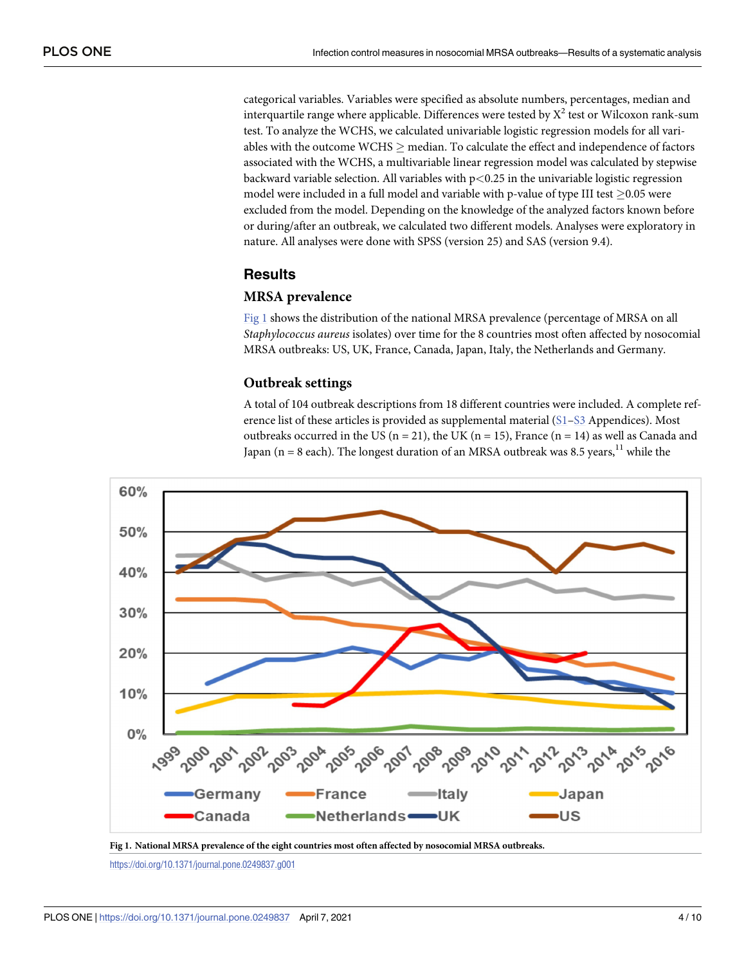categorical variables. Variables were specified as absolute numbers, percentages, median and interquartile range where applicable. Differences were tested by  $\mathrm{X}^2$  test or Wilcoxon rank-sum test. To analyze the WCHS, we calculated univariable logistic regression models for all variables with the outcome WCHS  $\geq$  median. To calculate the effect and independence of factors associated with the WCHS, a multivariable linear regression model was calculated by stepwise backward variable selection. All variables with p*<*0.25 in the univariable logistic regression model were included in a full model and variable with p-value of type III test  $\geq$ 0.05 were excluded from the model. Depending on the knowledge of the analyzed factors known before or during/after an outbreak, we calculated two different models. Analyses were exploratory in nature. All analyses were done with SPSS (version 25) and SAS (version 9.4).

# **Results**

## **MRSA prevalence**

Fig 1 shows the distribution of the national MRSA prevalence (percentage of MRSA on all Staphylococcus aureus isolates) over time for the 8 countries most often affected by nosocomial MRSA outbreaks: US, UK, France, Canada, Japan, Italy, the Netherlands and Germany.

#### **Outbreak settings**

A total of 104 outbreak descriptions from 18 different countries were included. A complete reference list of these articles is provided as supplemental material  $(S_1-S_3)$  Appendices). Most outbreaks occurred in the US ( $n = 21$ ), the UK ( $n = 15$ ), France ( $n = 14$ ) as well as Canada and Japan ( $n = 8$  each). The longest duration of an MRSA outbreak was 8.5 years, <sup>11</sup> while the



**Fig 1. National MRSA prevalence of the eight countries most often affected by nosocomial MRSA outbreaks.**

<https://doi.org/10.1371/journal.pone.0249837.g001>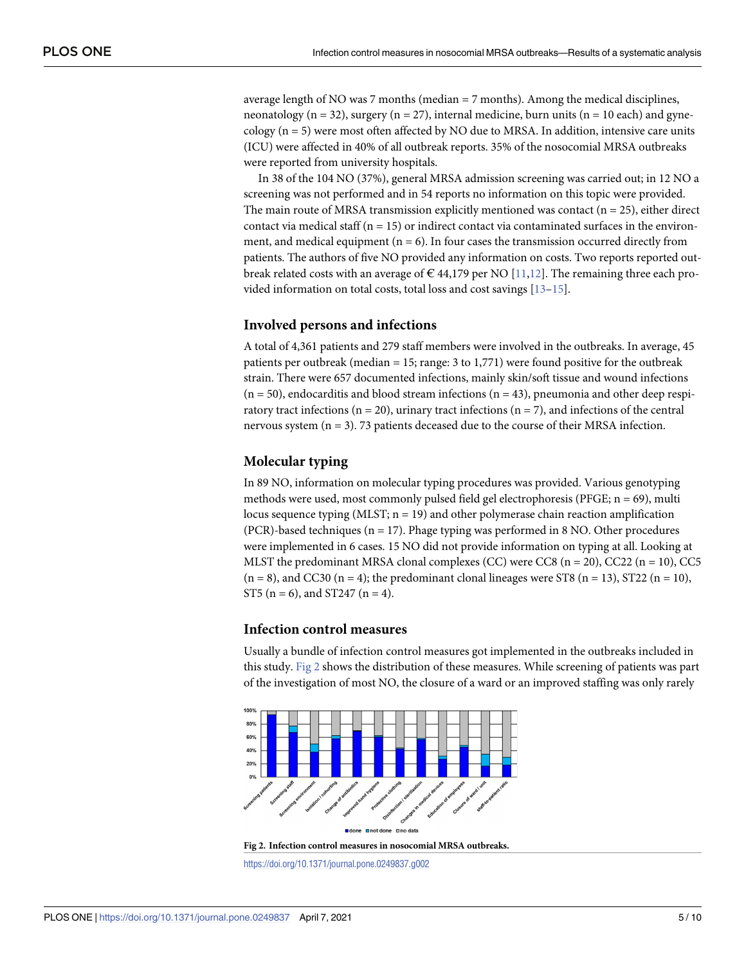<span id="page-4-0"></span>average length of NO was 7 months (median  $= 7$  months). Among the medical disciplines, neonatology ( $n = 32$ ), surgery ( $n = 27$ ), internal medicine, burn units ( $n = 10$  each) and gynecology ( $n = 5$ ) were most often affected by NO due to MRSA. In addition, intensive care units (ICU) were affected in 40% of all outbreak reports. 35% of the nosocomial MRSA outbreaks were reported from university hospitals.

In 38 of the 104 NO (37%), general MRSA admission screening was carried out; in 12 NO a screening was not performed and in 54 reports no information on this topic were provided. The main route of MRSA transmission explicitly mentioned was contact  $(n = 25)$ , either direct contact via medical staff  $(n = 15)$  or indirect contact via contaminated surfaces in the environment, and medical equipment ( $n = 6$ ). In four cases the transmission occurred directly from patients. The authors of five NO provided any information on costs. Two reports reported outbreak related costs with an average of  $\epsilon$  44,179 per NO [\[11,12](#page-8-0)]. The remaining three each provided information on total costs, total loss and cost savings [[13–15\]](#page-8-0).

#### **Involved persons and infections**

A total of 4,361 patients and 279 staff members were involved in the outbreaks. In average, 45 patients per outbreak (median = 15; range: 3 to 1,771) were found positive for the outbreak strain. There were 657 documented infections, mainly skin/soft tissue and wound infections  $(n = 50)$ , endocarditis and blood stream infections  $(n = 43)$ , pneumonia and other deep respiratory tract infections ( $n = 20$ ), urinary tract infections ( $n = 7$ ), and infections of the central nervous system (n = 3). 73 patients deceased due to the course of their MRSA infection.

#### **Molecular typing**

In 89 NO, information on molecular typing procedures was provided. Various genotyping methods were used, most commonly pulsed field gel electrophoresis (PFGE;  $n = 69$ ), multi locus sequence typing (MLST;  $n = 19$ ) and other polymerase chain reaction amplification (PCR)-based techniques ( $n = 17$ ). Phage typing was performed in 8 NO. Other procedures were implemented in 6 cases. 15 NO did not provide information on typing at all. Looking at MLST the predominant MRSA clonal complexes (CC) were CC8 ( $n = 20$ ), CC22 ( $n = 10$ ), CC5  $(n = 8)$ , and CC30  $(n = 4)$ ; the predominant clonal lineages were ST8  $(n = 13)$ , ST22  $(n = 10)$ , ST5 (n = 6), and ST247 (n = 4).

### **Infection control measures**

Usually a bundle of infection control measures got implemented in the outbreaks included in this study. Fig 2 shows the distribution of these measures. While screening of patients was part of the investigation of most NO, the closure of a ward or an improved staffing was only rarely



**Fig 2. Infection control measures in nosocomial MRSA outbreaks.**

<https://doi.org/10.1371/journal.pone.0249837.g002>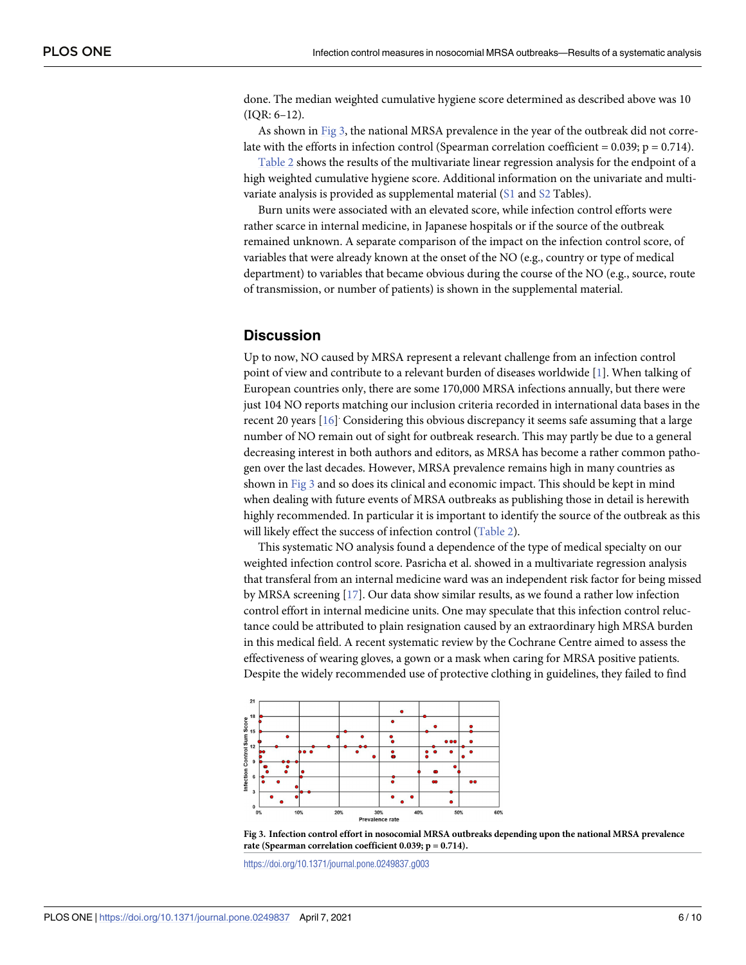<span id="page-5-0"></span>done. The median weighted cumulative hygiene score determined as described above was 10 (IQR: 6–12).

As shown in Fig 3, the national MRSA prevalence in the year of the outbreak did not correlate with the efforts in infection control (Spearman correlation coefficient =  $0.039$ ;  $p = 0.714$ ).

[Table 2](#page-6-0) shows the results of the multivariate linear regression analysis for the endpoint of a high weighted cumulative hygiene score. Additional information on the univariate and multivariate analysis is provided as supplemental material  $(S1$  and  $S2$  Tables).

Burn units were associated with an elevated score, while infection control efforts were rather scarce in internal medicine, in Japanese hospitals or if the source of the outbreak remained unknown. A separate comparison of the impact on the infection control score, of variables that were already known at the onset of the NO (e.g., country or type of medical department) to variables that became obvious during the course of the NO (e.g., source, route of transmission, or number of patients) is shown in the supplemental material.

### **Discussion**

Up to now, NO caused by MRSA represent a relevant challenge from an infection control point of view and contribute to a relevant burden of diseases worldwide [[1](#page-7-0)]. When talking of European countries only, there are some 170,000 MRSA infections annually, but there were just 104 NO reports matching our inclusion criteria recorded in international data bases in the recent 20 years [[16](#page-8-0)] Considering this obvious discrepancy it seems safe assuming that a large number of NO remain out of sight for outbreak research. This may partly be due to a general decreasing interest in both authors and editors, as MRSA has become a rather common pathogen over the last decades. However, MRSA prevalence remains high in many countries as shown in Fig 3 and so does its clinical and economic impact. This should be kept in mind when dealing with future events of MRSA outbreaks as publishing those in detail is herewith highly recommended. In particular it is important to identify the source of the outbreak as this will likely effect the success of infection control [\(Table 2](#page-6-0)).

This systematic NO analysis found a dependence of the type of medical specialty on our weighted infection control score. Pasricha et al. showed in a multivariate regression analysis that transferal from an internal medicine ward was an independent risk factor for being missed by MRSA screening [[17](#page-8-0)]. Our data show similar results, as we found a rather low infection control effort in internal medicine units. One may speculate that this infection control reluctance could be attributed to plain resignation caused by an extraordinary high MRSA burden in this medical field. A recent systematic review by the Cochrane Centre aimed to assess the effectiveness of wearing gloves, a gown or a mask when caring for MRSA positive patients. Despite the widely recommended use of protective clothing in guidelines, they failed to find





<https://doi.org/10.1371/journal.pone.0249837.g003>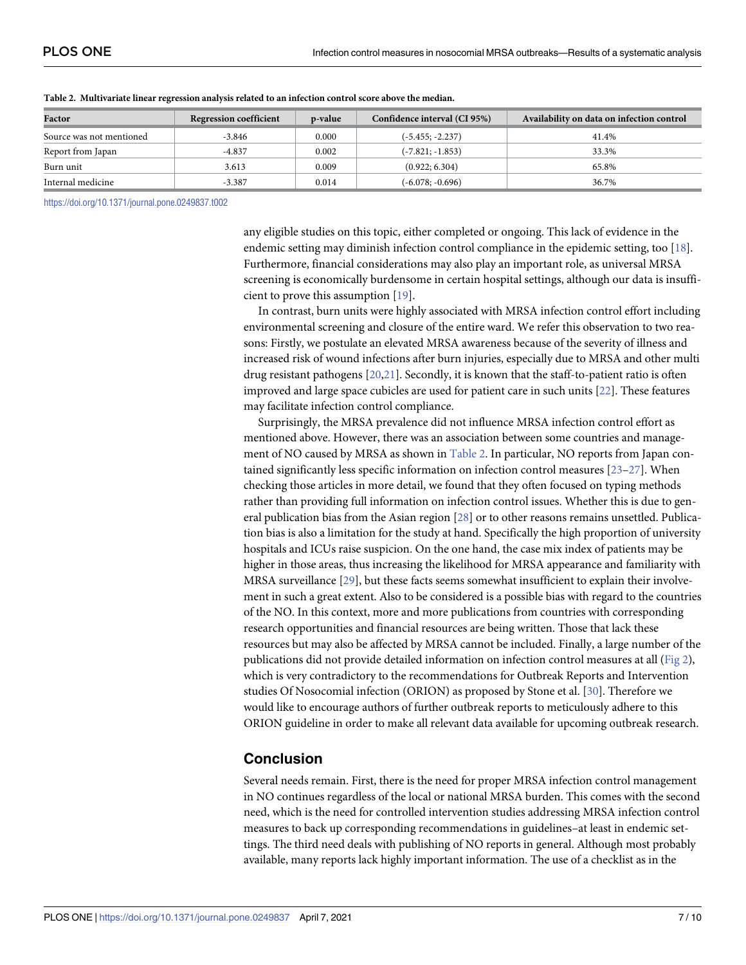| Factor                   | <b>Regression coefficient</b> | p-value | Confidence interval (CI 95%) | Availability on data on infection control |
|--------------------------|-------------------------------|---------|------------------------------|-------------------------------------------|
| Source was not mentioned | -3.846                        | 0.000   | (-5.455; -2.237)             | 41.4%                                     |
| Report from Japan        | $-4.837$                      | 0.002   | $(-7.821; -1.853)$           | 33.3%                                     |
| Burn unit                | 3.613                         | 0.009   | (0.922; 6.304)               | 65.8%                                     |
| Internal medicine        | $-3.387$                      | 0.014   | (-6.078; -0.696)             | 36.7%                                     |

<span id="page-6-0"></span>**[Table 2.](#page-5-0) Multivariate linear regression analysis related to an infection control score above the median.**

<https://doi.org/10.1371/journal.pone.0249837.t002>

any eligible studies on this topic, either completed or ongoing. This lack of evidence in the endemic setting may diminish infection control compliance in the epidemic setting, too [[18](#page-8-0)]. Furthermore, financial considerations may also play an important role, as universal MRSA screening is economically burdensome in certain hospital settings, although our data is insufficient to prove this assumption [[19](#page-8-0)].

In contrast, burn units were highly associated with MRSA infection control effort including environmental screening and closure of the entire ward. We refer this observation to two reasons: Firstly, we postulate an elevated MRSA awareness because of the severity of illness and increased risk of wound infections after burn injuries, especially due to MRSA and other multi drug resistant pathogens [\[20,21\]](#page-9-0). Secondly, it is known that the staff-to-patient ratio is often improved and large space cubicles are used for patient care in such units [\[22\]](#page-9-0). These features may facilitate infection control compliance.

Surprisingly, the MRSA prevalence did not influence MRSA infection control effort as mentioned above. However, there was an association between some countries and management of NO caused by MRSA as shown in Table 2. In particular, NO reports from Japan contained significantly less specific information on infection control measures  $[23-27]$ . When checking those articles in more detail, we found that they often focused on typing methods rather than providing full information on infection control issues. Whether this is due to general publication bias from the Asian region [[28](#page-9-0)] or to other reasons remains unsettled. Publication bias is also a limitation for the study at hand. Specifically the high proportion of university hospitals and ICUs raise suspicion. On the one hand, the case mix index of patients may be higher in those areas, thus increasing the likelihood for MRSA appearance and familiarity with MRSA surveillance [[29](#page-9-0)], but these facts seems somewhat insufficient to explain their involvement in such a great extent. Also to be considered is a possible bias with regard to the countries of the NO. In this context, more and more publications from countries with corresponding research opportunities and financial resources are being written. Those that lack these resources but may also be affected by MRSA cannot be included. Finally, a large number of the publications did not provide detailed information on infection control measures at all [\(Fig 2\)](#page-4-0), which is very contradictory to the recommendations for Outbreak Reports and Intervention studies Of Nosocomial infection (ORION) as proposed by Stone et al. [[30](#page-9-0)]. Therefore we would like to encourage authors of further outbreak reports to meticulously adhere to this ORION guideline in order to make all relevant data available for upcoming outbreak research.

# **Conclusion**

Several needs remain. First, there is the need for proper MRSA infection control management in NO continues regardless of the local or national MRSA burden. This comes with the second need, which is the need for controlled intervention studies addressing MRSA infection control measures to back up corresponding recommendations in guidelines–at least in endemic settings. The third need deals with publishing of NO reports in general. Although most probably available, many reports lack highly important information. The use of a checklist as in the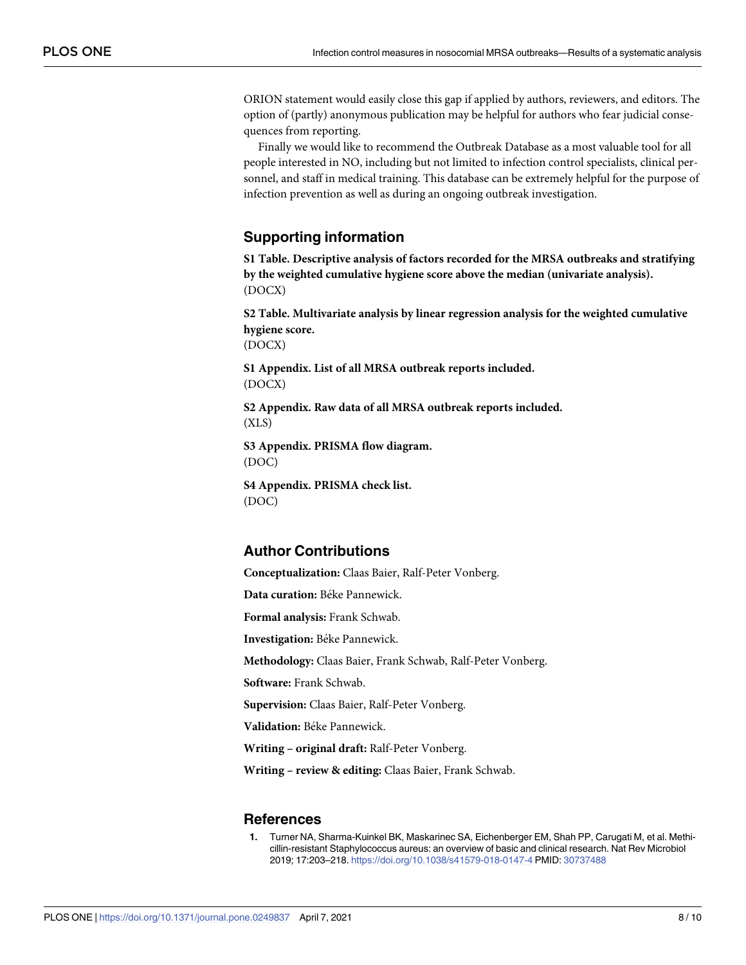<span id="page-7-0"></span>ORION statement would easily close this gap if applied by authors, reviewers, and editors. The option of (partly) anonymous publication may be helpful for authors who fear judicial consequences from reporting.

Finally we would like to recommend the Outbreak Database as a most valuable tool for all people interested in NO, including but not limited to infection control specialists, clinical personnel, and staff in medical training. This database can be extremely helpful for the purpose of infection prevention as well as during an ongoing outbreak investigation.

## **Supporting information**

**[S1 Table.](http://www.plosone.org/article/fetchSingleRepresentation.action?uri=info:doi/10.1371/journal.pone.0249837.s001) Descriptive analysis of factors recorded for the MRSA outbreaks and stratifying by the weighted cumulative hygiene score above the median (univariate analysis).** (DOCX)

**[S2 Table.](http://www.plosone.org/article/fetchSingleRepresentation.action?uri=info:doi/10.1371/journal.pone.0249837.s002) Multivariate analysis by linear regression analysis for the weighted cumulative hygiene score.**

(DOCX)

**[S1 Appendix](http://www.plosone.org/article/fetchSingleRepresentation.action?uri=info:doi/10.1371/journal.pone.0249837.s003). List of all MRSA outbreak reports included.** (DOCX)

**[S2 Appendix](http://www.plosone.org/article/fetchSingleRepresentation.action?uri=info:doi/10.1371/journal.pone.0249837.s004). Raw data of all MRSA outbreak reports included.** (XLS)

**[S3 Appendix](http://www.plosone.org/article/fetchSingleRepresentation.action?uri=info:doi/10.1371/journal.pone.0249837.s005). PRISMA flow diagram.** (DOC)

**[S4 Appendix](http://www.plosone.org/article/fetchSingleRepresentation.action?uri=info:doi/10.1371/journal.pone.0249837.s006). PRISMA check list.** (DOC)

# **Author Contributions**

**Conceptualization:** Claas Baier, Ralf-Peter Vonberg.

**Data curation:** Béke Pannewick.

**Formal analysis:** Frank Schwab.

**Investigation:** Béke Pannewick.

**Methodology:** Claas Baier, Frank Schwab, Ralf-Peter Vonberg.

**Software:** Frank Schwab.

**Supervision:** Claas Baier, Ralf-Peter Vonberg.

**Validation:** Béke Pannewick.

**Writing – original draft:** Ralf-Peter Vonberg.

**Writing – review & editing:** Claas Baier, Frank Schwab.

#### **References**

**[1](#page-0-0).** Turner NA, Sharma-Kuinkel BK, Maskarinec SA, Eichenberger EM, Shah PP, Carugati M, et al. Methicillin-resistant Staphylococcus aureus: an overview of basic and clinical research. Nat Rev Microbiol 2019; 17:203–218. <https://doi.org/10.1038/s41579-018-0147-4> PMID: [30737488](http://www.ncbi.nlm.nih.gov/pubmed/30737488)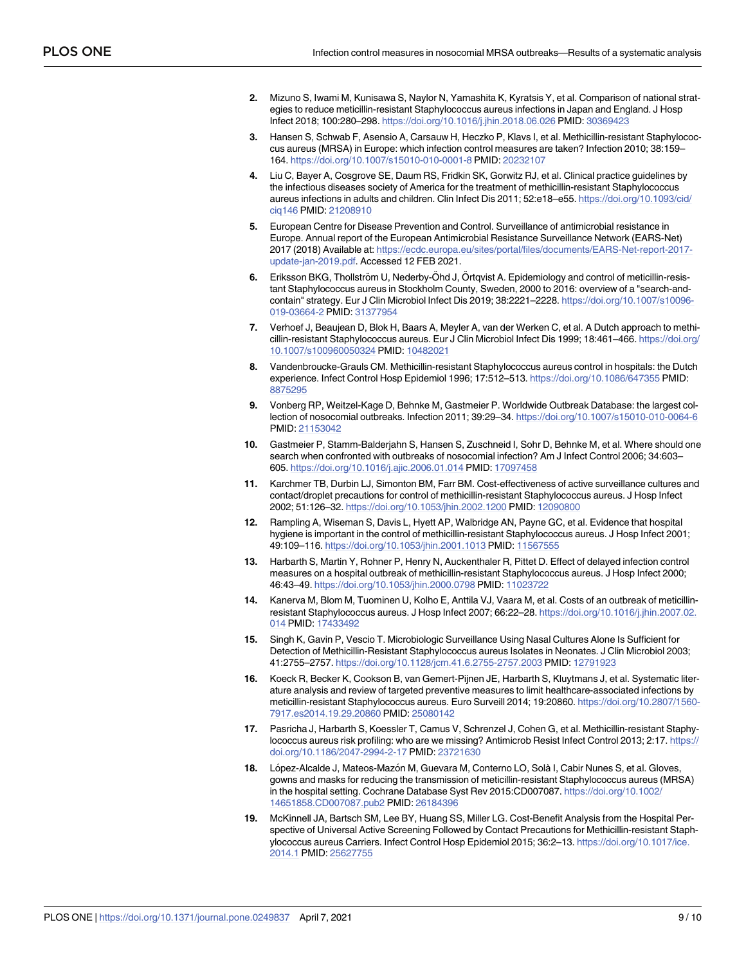- <span id="page-8-0"></span>**[2](#page-0-0).** Mizuno S, Iwami M, Kunisawa S, Naylor N, Yamashita K, Kyratsis Y, et al. Comparison of national strategies to reduce meticillin-resistant Staphylococcus aureus infections in Japan and England. J Hosp Infect 2018; 100:280–298. <https://doi.org/10.1016/j.jhin.2018.06.026> PMID: [30369423](http://www.ncbi.nlm.nih.gov/pubmed/30369423)
- **3.** Hansen S, Schwab F, Asensio A, Carsauw H, Heczko P, Klavs I, et al. Methicillin-resistant Staphylococcus aureus (MRSA) in Europe: which infection control measures are taken? Infection 2010; 38:159– 164. <https://doi.org/10.1007/s15010-010-0001-8> PMID: [20232107](http://www.ncbi.nlm.nih.gov/pubmed/20232107)
- **[4](#page-0-0).** Liu C, Bayer A, Cosgrove SE, Daum RS, Fridkin SK, Gorwitz RJ, et al. Clinical practice guidelines by the infectious diseases society of America for the treatment of methicillin-resistant Staphylococcus aureus infections in adults and children. Clin Infect Dis 2011; 52:e18–e55. [https://doi.org/10.1093/cid/](https://doi.org/10.1093/cid/ciq146) [ciq146](https://doi.org/10.1093/cid/ciq146) PMID: [21208910](http://www.ncbi.nlm.nih.gov/pubmed/21208910)
- **[5](#page-1-0).** European Centre for Disease Prevention and Control. Surveillance of antimicrobial resistance in Europe. Annual report of the European Antimicrobial Resistance Surveillance Network (EARS-Net) 2017 (2018) Available at: [https://ecdc.europa.eu/sites/portal/files/documents/EARS-Net-report-2017](https://ecdc.europa.eu/sites/portal/files/documents/EARS-Net-report-2017-update-jan-2019.pdf) [update-jan-2019.pdf.](https://ecdc.europa.eu/sites/portal/files/documents/EARS-Net-report-2017-update-jan-2019.pdf) Accessed 12 FEB 2021.
- **[6](#page-1-0).** Eriksson BKG, Thollström U, Nederby-Öhd J, Örtqvist A. Epidemiology and control of meticillin-resistant Staphylococcus aureus in Stockholm County, Sweden, 2000 to 2016: overview of a "search-andcontain" strategy. Eur J Clin Microbiol Infect Dis 2019; 38:2221–2228. [https://doi.org/10.1007/s10096-](https://doi.org/10.1007/s10096-019-03664-2) [019-03664-2](https://doi.org/10.1007/s10096-019-03664-2) PMID: [31377954](http://www.ncbi.nlm.nih.gov/pubmed/31377954)
- **7.** Verhoef J, Beaujean D, Blok H, Baars A, Meyler A, van der Werken C, et al. A Dutch approach to methicillin-resistant Staphylococcus aureus. Eur J Clin Microbiol Infect Dis 1999; 18:461–466. [https://doi.org/](https://doi.org/10.1007/s100960050324) [10.1007/s100960050324](https://doi.org/10.1007/s100960050324) PMID: [10482021](http://www.ncbi.nlm.nih.gov/pubmed/10482021)
- **[8](#page-1-0).** Vandenbroucke-Grauls CM. Methicillin-resistant Staphylococcus aureus control in hospitals: the Dutch experience. Infect Control Hosp Epidemiol 1996; 17:512–513. <https://doi.org/10.1086/647355> PMID: [8875295](http://www.ncbi.nlm.nih.gov/pubmed/8875295)
- **[9](#page-1-0).** Vonberg RP, Weitzel-Kage D, Behnke M, Gastmeier P. Worldwide Outbreak Database: the largest collection of nosocomial outbreaks. Infection 2011; 39:29–34. <https://doi.org/10.1007/s15010-010-0064-6> PMID: [21153042](http://www.ncbi.nlm.nih.gov/pubmed/21153042)
- **[10](#page-1-0).** Gastmeier P, Stamm-Balderjahn S, Hansen S, Zuschneid I, Sohr D, Behnke M, et al. Where should one search when confronted with outbreaks of nosocomial infection? Am J Infect Control 2006; 34:603– 605. <https://doi.org/10.1016/j.ajic.2006.01.014> PMID: [17097458](http://www.ncbi.nlm.nih.gov/pubmed/17097458)
- **[11](#page-4-0).** Karchmer TB, Durbin LJ, Simonton BM, Farr BM. Cost-effectiveness of active surveillance cultures and contact/droplet precautions for control of methicillin-resistant Staphylococcus aureus. J Hosp Infect 2002; 51:126–32. <https://doi.org/10.1053/jhin.2002.1200> PMID: [12090800](http://www.ncbi.nlm.nih.gov/pubmed/12090800)
- **[12](#page-4-0).** Rampling A, Wiseman S, Davis L, Hyett AP, Walbridge AN, Payne GC, et al. Evidence that hospital hygiene is important in the control of methicillin-resistant Staphylococcus aureus. J Hosp Infect 2001; 49:109–116. <https://doi.org/10.1053/jhin.2001.1013> PMID: [11567555](http://www.ncbi.nlm.nih.gov/pubmed/11567555)
- **[13](#page-4-0).** Harbarth S, Martin Y, Rohner P, Henry N, Auckenthaler R, Pittet D. Effect of delayed infection control measures on a hospital outbreak of methicillin-resistant Staphylococcus aureus. J Hosp Infect 2000; 46:43–49. <https://doi.org/10.1053/jhin.2000.0798> PMID: [11023722](http://www.ncbi.nlm.nih.gov/pubmed/11023722)
- **14.** Kanerva M, Blom M, Tuominen U, Kolho E, Anttila VJ, Vaara M, et al. Costs of an outbreak of meticillinresistant Staphylococcus aureus. J Hosp Infect 2007; 66:22–28. [https://doi.org/10.1016/j.jhin.2007.02.](https://doi.org/10.1016/j.jhin.2007.02.014) [014](https://doi.org/10.1016/j.jhin.2007.02.014) PMID: [17433492](http://www.ncbi.nlm.nih.gov/pubmed/17433492)
- **[15](#page-4-0).** Singh K, Gavin P, Vescio T. Microbiologic Surveillance Using Nasal Cultures Alone Is Sufficient for Detection of Methicillin-Resistant Staphylococcus aureus Isolates in Neonates. J Clin Microbiol 2003; 41:2755–2757. <https://doi.org/10.1128/jcm.41.6.2755-2757.2003> PMID: [12791923](http://www.ncbi.nlm.nih.gov/pubmed/12791923)
- **[16](#page-5-0).** Koeck R, Becker K, Cookson B, van Gemert-Pijnen JE, Harbarth S, Kluytmans J, et al. Systematic literature analysis and review of targeted preventive measures to limit healthcare-associated infections by meticillin-resistant Staphylococcus aureus. Euro Surveill 2014; 19:20860. [https://doi.org/10.2807/1560-](https://doi.org/10.2807/1560-7917.es2014.19.29.20860) [7917.es2014.19.29.20860](https://doi.org/10.2807/1560-7917.es2014.19.29.20860) PMID: [25080142](http://www.ncbi.nlm.nih.gov/pubmed/25080142)
- **[17](#page-5-0).** Pasricha J, Harbarth S, Koessler T, Camus V, Schrenzel J, Cohen G, et al. Methicillin-resistant Staphylococcus aureus risk profiling: who are we missing? Antimicrob Resist Infect Control 2013; 2:17. [https://](https://doi.org/10.1186/2047-2994-2-17) [doi.org/10.1186/2047-2994-2-17](https://doi.org/10.1186/2047-2994-2-17) PMID: [23721630](http://www.ncbi.nlm.nih.gov/pubmed/23721630)
- **[18](#page-6-0).** López-Alcalde J, Mateos-Mazón M, Guevara M, Conterno LO, Solà I, Cabir Nunes S, et al. Gloves, gowns and masks for reducing the transmission of meticillin-resistant Staphylococcus aureus (MRSA) in the hospital setting. Cochrane Database Syst Rev 2015:CD007087. [https://doi.org/10.1002/](https://doi.org/10.1002/14651858.CD007087.pub2) [14651858.CD007087.pub2](https://doi.org/10.1002/14651858.CD007087.pub2) PMID: [26184396](http://www.ncbi.nlm.nih.gov/pubmed/26184396)
- **[19](#page-6-0).** McKinnell JA, Bartsch SM, Lee BY, Huang SS, Miller LG. Cost-Benefit Analysis from the Hospital Perspective of Universal Active Screening Followed by Contact Precautions for Methicillin-resistant Staphylococcus aureus Carriers. Infect Control Hosp Epidemiol 2015; 36:2–13. [https://doi.org/10.1017/ice.](https://doi.org/10.1017/ice.2014.1) [2014.1](https://doi.org/10.1017/ice.2014.1) PMID: [25627755](http://www.ncbi.nlm.nih.gov/pubmed/25627755)